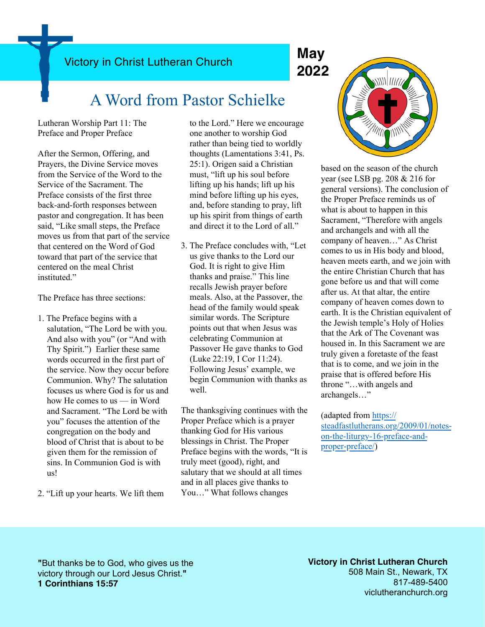Victory in Christ Lutheran Church **May**

# **2022**

### A Word from Pastor Schielke

Lutheran Worship Part 11: The Preface and Proper Preface

After the Sermon, Offering, and Prayers, the Divine Service moves from the Service of the Word to the Service of the Sacrament. The Preface consists of the first three back-and-forth responses between pastor and congregation. It has been said, "Like small steps, the Preface moves us from that part of the service that centered on the Word of God toward that part of the service that centered on the meal Christ instituted."

The Preface has three sections:

- 1. The Preface begins with a salutation, "The Lord be with you. And also with you" (or "And with Thy Spirit.") Earlier these same words occurred in the first part of the service. Now they occur before Communion. Why? The salutation focuses us where God is for us and how He comes to us — in Word and Sacrament. "The Lord be with you" focuses the attention of the congregation on the body and blood of Christ that is about to be given them for the remission of sins. In Communion God is with us!
- 2. "Lift up your hearts. We lift them

to the Lord." Here we encourage one another to worship God rather than being tied to worldly thoughts (Lamentations 3:41, Ps. 25:1). Origen said a Christian must, "lift up his soul before lifting up his hands; lift up his mind before lifting up his eyes, and, before standing to pray, lift up his spirit from things of earth and direct it to the Lord of all."

3. The Preface concludes with, "Let us give thanks to the Lord our God. It is right to give Him thanks and praise." This line recalls Jewish prayer before meals. Also, at the Passover, the head of the family would speak similar words. The Scripture points out that when Jesus was celebrating Communion at Passover He gave thanks to God (Luke 22:19, I Cor 11:24). Following Jesus' example, we begin Communion with thanks as well.

The thanksgiving continues with the Proper Preface which is a prayer thanking God for His various blessings in Christ. The Proper Preface begins with the words, "It is truly meet (good), right, and salutary that we should at all times and in all places give thanks to You…" What follows changes



based on the season of the church year (see LSB pg. 208 & 216 for general versions). The conclusion of the Proper Preface reminds us of what is about to happen in this Sacrament, "Therefore with angels and archangels and with all the company of heaven…" As Christ comes to us in His body and blood, heaven meets earth, and we join with the entire Christian Church that has gone before us and that will come after us. At that altar, the entire company of heaven comes down to earth. It is the Christian equivalent of the Jewish temple's Holy of Holies that the Ark of The Covenant was housed in. In this Sacrament we are truly given a foretaste of the feast that is to come, and we join in the praise that is offered before His throne "…with angels and archangels…"

(adapted from [https://](https://steadfastlutherans.org/2009/01/notes-on-the-liturgy-16-preface-and-proper-preface/) [steadfastlutherans.org/2009/01/notes](https://steadfastlutherans.org/2009/01/notes-on-the-liturgy-16-preface-and-proper-preface/)[on-the-liturgy-16-preface-and](https://steadfastlutherans.org/2009/01/notes-on-the-liturgy-16-preface-and-proper-preface/)[proper-preface/](https://steadfastlutherans.org/2009/01/notes-on-the-liturgy-16-preface-and-proper-preface/))

**"**But thanks be to God, who gives us the victory through our Lord Jesus Christ.**" 1 Corinthians 15:57**

**Victory in Christ Lutheran Church** 508 Main St., Newark, TX 817-489-5400 viclutheranchurch.org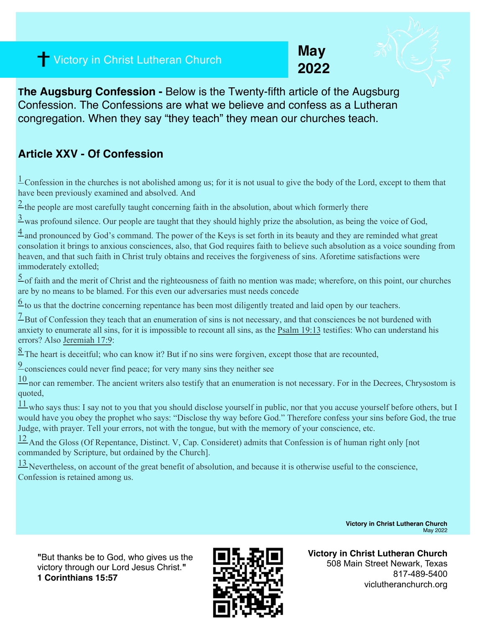## **2022** Victory in Christ Lutheran Church

**May**



#### **Article XXV - Of Confession**

 $\frac{1}{2}$ Confession in the churches is not abolished among us; for it is not usual to give the body of the Lord, except to them that have been previously examined and absolved. And

 $2$  the people are most carefully taught concerning faith in the absolution, about which formerly there

 $\frac{3}{2}$  was profound silence. Our people are taught that they should highly prize the absolution, as being the voice of God,

 $\frac{4}{3}$  and pronounced by God's command. The power of the Keys is set forth in its beauty and they are reminded what great consolation it brings to anxious consciences, also, that God requires faith to believe such absolution as a voice sounding from heaven, and that such faith in Christ truly obtains and receives the forgiveness of sins. Aforetime satisfactions were immoderately extolled;

 $\frac{5}{2}$  of faith and the merit of Christ and the righteousness of faith no mention was made; wherefore, on this point, our churches are by no means to be blamed. For this even our adversaries must needs concede

 $\frac{6}{5}$  to us that the doctrine concerning repentance has been most diligently treated and laid open by our teachers.

 $\frac{7}{2}$ But of Confession they teach that an enumeration of sins is not necessary, and that consciences be not burdened with anxiety to enumerate all sins, for it is impossible to recount all sins, as the [Psalm 19:13](https://biblia.com/bible/esv/Ps%2019.13) testifies: Who can understand his errors? Also [Jeremiah 17:9:](https://biblia.com/bible/esv/Jer%2017.9)

<sup>8</sup> The heart is deceitful; who can know it? But if no sins were forgiven, except those that are recounted,

[9](https://boc.confident.faith/ac-xxv-0009) consciences could never find peace; for very many sins they neither see

 $10$  nor can remember. The ancient writers also testify that an enumeration is not necessary. For in the Decrees, Chrysostom is quoted,

 $\frac{11}{11}$  who says thus: I say not to you that you should disclose yourself in public, nor that you accuse yourself before others, but I would have you obey the prophet who says: "Disclose thy way before God." Therefore confess your sins before God, the true Judge, with prayer. Tell your errors, not with the tongue, but with the memory of your conscience, etc.

[12 A](https://boc.confident.faith/ac-xxv-0012)nd the Gloss (Of Repentance, Distinct. V, Cap. Consideret) admits that Confession is of human right only [not commanded by Scripture, but ordained by the Church].

 $\frac{13}{2}$  Nevertheless, on account of the great benefit of absolution, and because it is otherwise useful to the conscience, Confession is retained among us.

> **Victory in Christ Lutheran Church**  May 2022

**"**But thanks be to God, who gives us the victory through our Lord Jesus Christ.**" 1 Corinthians 15:57**



**Victory in Christ Lutheran Church** 508 Main Street Newark, Texas 817-489-5400 viclutheranchurch.org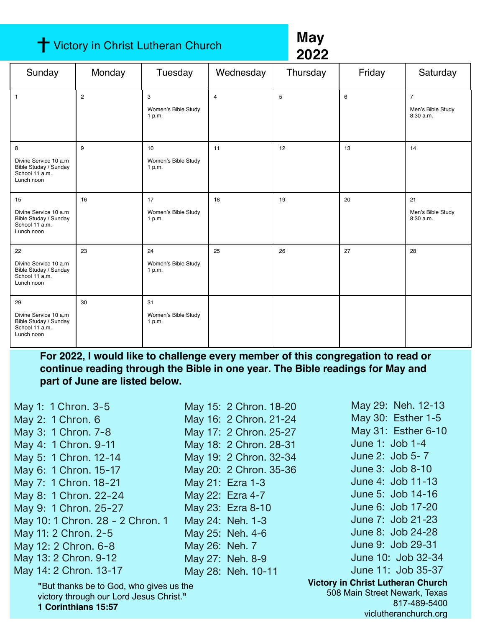#### **†** Victory in Christ Lutheran Church

**May 2022**

| Sunday                                                                                | Monday         | Tuesday                             | Wednesday      | Thursday | Friday | Saturday                                         |
|---------------------------------------------------------------------------------------|----------------|-------------------------------------|----------------|----------|--------|--------------------------------------------------|
| $\overline{1}$                                                                        | $\overline{2}$ | 3<br>Women's Bible Study<br>1 p.m.  | $\overline{4}$ | 5        | 6      | $\overline{7}$<br>Men's Bible Study<br>8:30 a.m. |
| 8<br>Divine Service 10 a.m<br>Bible Studay / Sunday<br>School 11 a.m.<br>Lunch noon   | 9              | 10<br>Women's Bible Study<br>1 p.m. | 11             | 12       | 13     | 14                                               |
| 15<br>Divine Service 10 a.m<br>Bible Studay / Sunday<br>School 11 a.m.<br>Lunch noon  | 16             | 17<br>Women's Bible Study<br>1 p.m. | 18             | 19       | 20     | 21<br>Men's Bible Study<br>8:30 a.m.             |
| 22<br>Divine Service 10 a.m.<br>Bible Studay / Sunday<br>School 11 a.m.<br>Lunch noon | 23             | 24<br>Women's Bible Study<br>1 p.m. | 25             | 26       | 27     | 28                                               |
| 29<br>Divine Service 10 a.m<br>Bible Studay / Sunday<br>School 11 a.m.<br>Lunch noon  | 30             | 31<br>Women's Bible Study<br>1 p.m. |                |          |        |                                                  |

**For 2022, I would like to challenge every member of this congregation to read or continue reading through the Bible in one year. The Bible readings for May and part of June are listed below.**

| May 1: 1 Chron. 3-5                                                                                       | May 15: 2 Chron. 18-20 | May 29: Neh. 12-13                                                                        |
|-----------------------------------------------------------------------------------------------------------|------------------------|-------------------------------------------------------------------------------------------|
| May 2: 1 Chron. 6                                                                                         | May 16: 2 Chron. 21-24 | May 30: Esther 1-5                                                                        |
| May 3: 1 Chron. 7-8                                                                                       | May 17: 2 Chron. 25-27 | May 31: Esther 6-10                                                                       |
| May 4: 1 Chron. 9-11                                                                                      | May 18: 2 Chron. 28-31 | June 1: Job 1-4                                                                           |
| May 5: 1 Chron. 12-14                                                                                     | May 19: 2 Chron. 32-34 | June 2: Job 5-7                                                                           |
| May 6: 1 Chron. 15-17                                                                                     | May 20: 2 Chron. 35-36 | June 3: Job 8-10                                                                          |
| May 7: 1 Chron. 18-21                                                                                     | May 21: Ezra 1-3       | June 4: Job 11-13                                                                         |
| May 8: 1 Chron. 22-24                                                                                     | May 22: Ezra 4-7       | June 5: Job 14-16                                                                         |
| May 9: 1 Chron. 25-27                                                                                     | May 23: Ezra 8-10      | June 6: Job 17-20                                                                         |
| May 10: 1 Chron. 28 - 2 Chron. 1                                                                          | May 24: Neh. 1-3       | June 7: Job 21-23                                                                         |
| May 11: 2 Chron. 2-5                                                                                      | May 25: Neh. 4-6       | June 8: Job 24-28                                                                         |
| May 12: 2 Chron. 6-8                                                                                      | May 26: Neh. 7         | June 9: Job 29-31                                                                         |
| May 13: 2 Chron. 9-12                                                                                     | May 27: Neh. 8-9       | June 10: Job 32-34                                                                        |
| May 14: 2 Chron. 13-17                                                                                    | May 28: Neh. 10-11     | June 11: Job 35-37                                                                        |
| "But thanks be to God, who gives us the<br>victory through our Lord Jesus Christ."<br>1 Corinthians 15:57 |                        | <b>Victory in Christ Lutheran Church</b><br>508 Main Street Newark, Texas<br>817-489-5400 |

viclutheranchurch.org